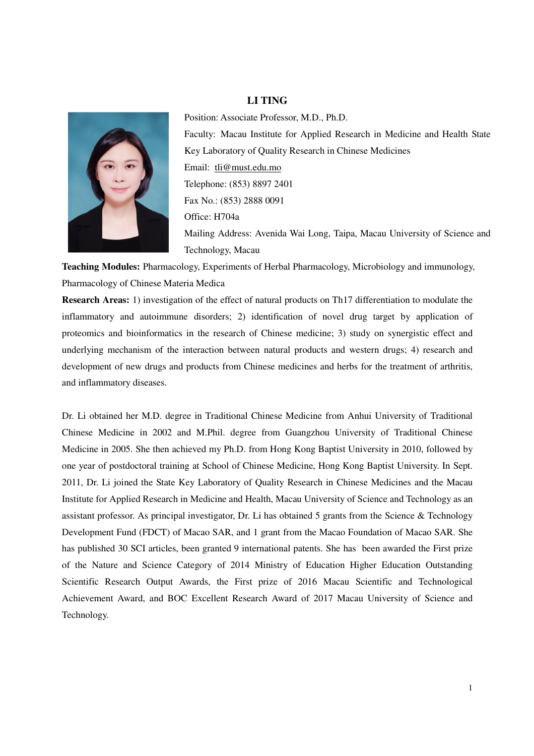#### **LI TING**



Position: Associate Professor, M.D., Ph.D. Faculty: Macau Institute for Applied Research in Medicine and Health State Key Laboratory of Quality Research in Chinese Medicines Email: tli@must.edu.mo Telephone: (853) 8897 2401 Fax No.: (853) 2888 0091 Office: H704a Mailing Address: Avenida Wai Long, Taipa, Macau University of Science and Technology, Macau

**Teaching Modules:** Pharmacology, Experiments of Herbal Pharmacology, Microbiology and immunology, Pharmacology of Chinese Materia Medica

**Research Areas:** 1) investigation of the effect of natural products on Th17 differentiation to modulate the inflammatory and autoimmune disorders; 2) identification of novel drug target by application of proteomics and bioinformatics in the research of Chinese medicine; 3) study on synergistic effect and underlying mechanism of the interaction between natural products and western drugs; 4) research and development of new drugs and products from Chinese medicines and herbs for the treatment of arthritis, and inflammatory diseases.

Dr. Li obtained her M.D. degree in Traditional Chinese Medicine from Anhui University of Traditional Chinese Medicine in 2002 and M.Phil. degree from Guangzhou University of Traditional Chinese Medicine in 2005. She then achieved my Ph.D. from Hong Kong Baptist University in 2010, followed by one year of postdoctoral training at School of Chinese Medicine, Hong Kong Baptist University. In Sept. 2011, Dr. Li joined the State Key Laboratory of Quality Research in Chinese Medicines and the Macau Institute for Applied Research in Medicine and Health, Macau University of Science and Technology as an assistant professor. As principal investigator, Dr. Li has obtained 5 grants from the Science & Technology Development Fund (FDCT) of Macao SAR, and 1 grant from the Macao Foundation of Macao SAR. She has published 30 SCI articles, been granted 9 international patents. She has been awarded the First prize of the Nature and Science Category of 2014 Ministry of Education Higher Education Outstanding Scientific Research Output Awards, the First prize of 2016 Macau Scientific and Technological Achievement Award, and BOC Excellent Research Award of 2017 Macau University of Science and Technology.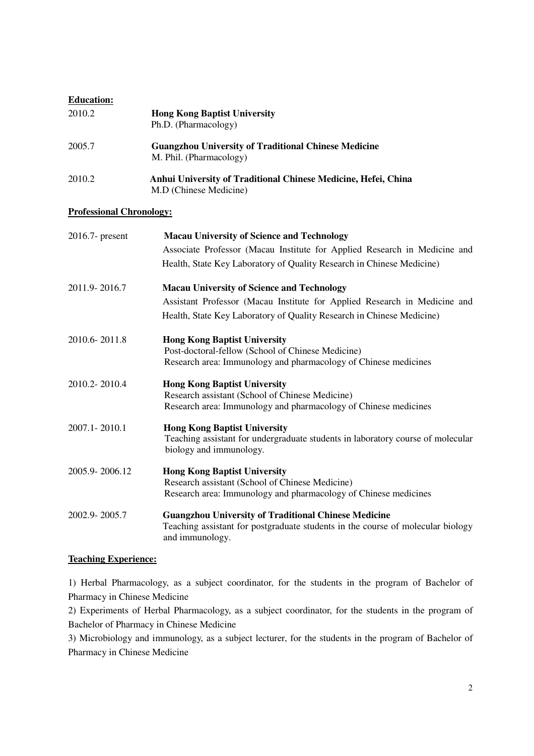# **Education:**

| 2010.2                          | <b>Hong Kong Baptist University</b><br>Ph.D. (Pharmacology)                                                                                                       |
|---------------------------------|-------------------------------------------------------------------------------------------------------------------------------------------------------------------|
| 2005.7                          | <b>Guangzhou University of Traditional Chinese Medicine</b><br>M. Phil. (Pharmacology)                                                                            |
| 2010.2                          | Anhui University of Traditional Chinese Medicine, Hefei, China<br>M.D (Chinese Medicine)                                                                          |
| <b>Professional Chronology:</b> |                                                                                                                                                                   |
| 2016.7- present                 | <b>Macau University of Science and Technology</b>                                                                                                                 |
|                                 | Associate Professor (Macau Institute for Applied Research in Medicine and<br>Health, State Key Laboratory of Quality Research in Chinese Medicine)                |
| 2011.9-2016.7                   | <b>Macau University of Science and Technology</b>                                                                                                                 |
|                                 | Assistant Professor (Macau Institute for Applied Research in Medicine and                                                                                         |
|                                 | Health, State Key Laboratory of Quality Research in Chinese Medicine)                                                                                             |
| 2010.6-2011.8                   | <b>Hong Kong Baptist University</b><br>Post-doctoral-fellow (School of Chinese Medicine)<br>Research area: Immunology and pharmacology of Chinese medicines       |
| 2010.2-2010.4                   | <b>Hong Kong Baptist University</b><br>Research assistant (School of Chinese Medicine)<br>Research area: Immunology and pharmacology of Chinese medicines         |
| 2007.1-2010.1                   | <b>Hong Kong Baptist University</b><br>Teaching assistant for undergraduate students in laboratory course of molecular<br>biology and immunology.                 |
| 2005.9-2006.12                  | <b>Hong Kong Baptist University</b><br>Research assistant (School of Chinese Medicine)<br>Research area: Immunology and pharmacology of Chinese medicines         |
| 2002.9-2005.7                   | <b>Guangzhou University of Traditional Chinese Medicine</b><br>Teaching assistant for postgraduate students in the course of molecular biology<br>and immunology. |

### **Teaching Experience:**

1) Herbal Pharmacology, as a subject coordinator, for the students in the program of Bachelor of Pharmacy in Chinese Medicine

2) Experiments of Herbal Pharmacology, as a subject coordinator, for the students in the program of Bachelor of Pharmacy in Chinese Medicine

3) Microbiology and immunology, as a subject lecturer, for the students in the program of Bachelor of Pharmacy in Chinese Medicine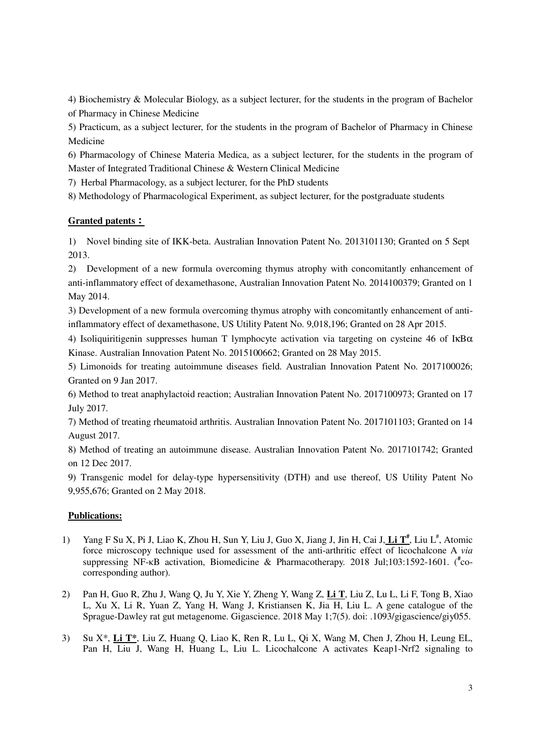4) Biochemistry & Molecular Biology, as a subject lecturer, for the students in the program of Bachelor of Pharmacy in Chinese Medicine

5) Practicum, as a subject lecturer, for the students in the program of Bachelor of Pharmacy in Chinese Medicine

6) Pharmacology of Chinese Materia Medica, as a subject lecturer, for the students in the program of Master of Integrated Traditional Chinese & Western Clinical Medicine

7) Herbal Pharmacology, as a subject lecturer, for the PhD students

8) Methodology of Pharmacological Experiment, as subject lecturer, for the postgraduate students

# **Granted patents**:

1) Novel binding site of IKK-beta. Australian Innovation Patent No. 2013101130; Granted on 5 Sept 2013.

2) Development of a new formula overcoming thymus atrophy with concomitantly enhancement of anti-inflammatory effect of dexamethasone, Australian Innovation Patent No. 2014100379; Granted on 1 May 2014.

3) Development of a new formula overcoming thymus atrophy with concomitantly enhancement of antiinflammatory effect of dexamethasone, US Utility Patent No. 9,018,196; Granted on 28 Apr 2015.

4) Isoliquiritigenin suppresses human T lymphocyte activation via targeting on cysteine 46 of IκBα Kinase. Australian Innovation Patent No. 2015100662; Granted on 28 May 2015.

5) Limonoids for treating autoimmune diseases field. Australian Innovation Patent No. 2017100026; Granted on 9 Jan 2017.

6) Method to treat anaphylactoid reaction; Australian Innovation Patent No. 2017100973; Granted on 17 July 2017.

7) Method of treating rheumatoid arthritis. Australian Innovation Patent No. 2017101103; Granted on 14 August 2017.

8) Method of treating an autoimmune disease. Australian Innovation Patent No. 2017101742; Granted on 12 Dec 2017.

9) Transgenic model for delay-type hypersensitivity (DTH) and use thereof, US Utility Patent No 9,955,676; Granted on 2 May 2018.

### **Publications:**

- 1) Yang F Su X, Pi J, Liao K, Zhou H, Sun Y, Liu J, Guo X, Jiang J, Jin H, Cai J, Li T<sup>#</sup>, Liu L<sup>#</sup>, Atomic force microscopy technique used for assessment of the anti-arthritic effect of licochalcone A *via* suppressing NF-κB activation, Biomedicine & Pharmacotherapy. 2018 Jul;103:1592-1601. (<sup>#</sup>cocorresponding author).
- 2) Pan H, Guo R, Zhu J, Wang Q, Ju Y, Xie Y, Zheng Y, Wang Z, **Li T**, Liu Z, Lu L, Li F, Tong B, Xiao L, Xu X, Li R, Yuan Z, Yang H, Wang J, Kristiansen K, Jia H, Liu L. A gene catalogue of the Sprague-Dawley rat gut metagenome. Gigascience. 2018 May 1;7(5). doi: .1093/gigascience/giy055.
- 3) Su X\*, **Li T\***, Liu Z, Huang Q, Liao K, Ren R, Lu L, Qi X, Wang M, Chen J, Zhou H, Leung EL, Pan H, Liu J, Wang H, Huang L, Liu L. Licochalcone A activates Keap1-Nrf2 signaling to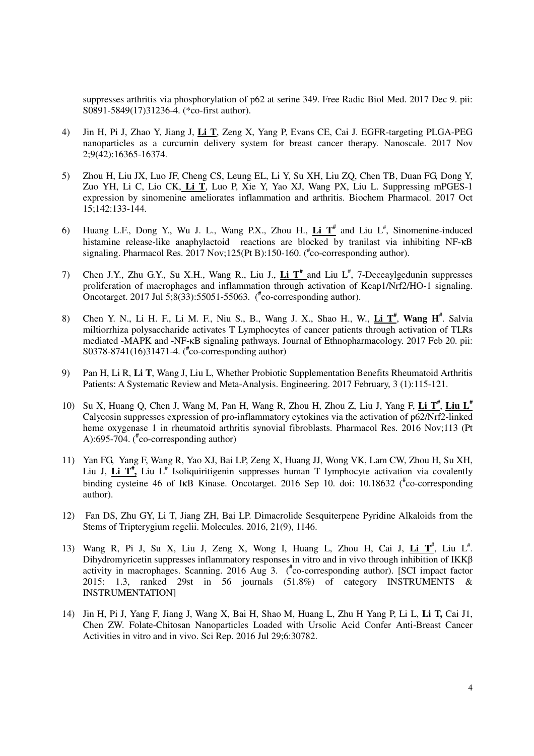suppresses arthritis via phosphorylation of p62 at serine 349. Free Radic Biol Med. 2017 Dec 9. pii: S0891-5849(17)31236-4. (\*co-first author).

- 4) Jin H, Pi J, Zhao Y, Jiang J, **Li T**, Zeng X, Yang P, Evans CE, Cai J. EGFR-targeting PLGA-PEG nanoparticles as a curcumin delivery system for breast cancer therapy. Nanoscale. 2017 Nov 2;9(42):16365-16374.
- 5) Zhou H, Liu JX, Luo JF, Cheng CS, Leung EL, Li Y, Su XH, Liu ZQ, Chen TB, Duan FG, Dong Y, Zuo YH, Li C, Lio CK, **Li T**, Luo P, Xie Y, Yao XJ, Wang PX, Liu L. Suppressing mPGES-1 expression by sinomenine ameliorates inflammation and arthritis. Biochem Pharmacol. 2017 Oct 15;142:133-144.
- 6) Huang L.F., Dong Y., Wu J. L., Wang P.X., Zhou H.,  $\underline{\text{Li}} \text{T}^*$  and Liu  $L^*$ , Sinomenine-induced histamine release-like anaphylactoid reactions are blocked by tranilast via inhibiting NF-KB signaling. Pharmacol Res. 2017 Nov;125(Pt B):150-160. (**#** co-corresponding author).
- 7) Chen J.Y., Zhu G.Y., Su X.H., Wang R., Liu J., Li T<sup>#</sup> and Liu L<sup>#</sup>, 7-Deceaylgedunin suppresses proliferation of macrophages and inflammation through activation of Keap1/Nrf2/HO-1 signaling. Oncotarget. 2017 Jul 5;8(33):55051-55063. (**#** co-corresponding author).
- 8) Chen Y. N., Li H. F., Li M. F., Niu S., B., Wang J. X., Shao H., W., **Li T#** , **Wang H#** . Salvia miltiorrhiza polysaccharide activates T Lymphocytes of cancer patients through activation of TLRs mediated -MAPK and -NF-κB signaling pathways. Journal of Ethnopharmacology. 2017 Feb 20. pii: S0378-8741(16)31471-4. (**#** co-corresponding author)
- 9) Pan H, Li R, **Li T**, Wang J, Liu L, Whether Probiotic Supplementation Benefits Rheumatoid Arthritis Patients: A Systematic Review and Meta-Analysis. Engineering. 2017 February, 3 (1):115-121.
- 10) Su X, Huang Q, Chen J, Wang M, Pan H, Wang R, Zhou H, Zhou Z, Liu J, Yang F, **Li T#** , **Liu L#** Calycosin suppresses expression of pro-inflammatory cytokines via the activation of p62/Nrf2-linked heme oxygenase 1 in rheumatoid arthritis synovial fibroblasts. Pharmacol Res. 2016 Nov;113 (Pt A):695-704. (**#** co-corresponding author)
- 11) Yan FG, Yang F, Wang R, Yao XJ, Bai LP, Zeng X, Huang JJ, Wong VK, Lam CW, Zhou H, Su XH, Liu J,  $\underline{\text{Li }T}^*$ , Liu L<sup>#</sup> Isoliquiritigenin suppresses human T lymphocyte activation via covalently binding cysteine 46 of IκB Kinase. Oncotarget. 2016 Sep 10. doi: 10.18632 (**#** co-corresponding author).
- 12) Fan DS, Zhu GY, Li T, Jiang ZH, Bai LP. Dimacrolide Sesquiterpene Pyridine Alkaloids from the Stems of Tripterygium regelii. Molecules. 2016, 21(9), 1146.
- 13) Wang R, Pi J, Su X, Liu J, Zeng X, Wong I, Huang L, Zhou H, Cai J, Li T<sup>#</sup>, Liu L<sup>#</sup>. Dihydromyricetin suppresses inflammatory responses in vitro and in vivo through inhibition of IKKβ activity in macrophages. Scanning. 2016 Aug 3. (**#** co-corresponding author). [SCI impact factor 2015: 1.3, ranked 29st in 56 journals (51.8%) of category INSTRUMENTS & INSTRUMENTATION]
- 14) Jin H, Pi J, Yang F, Jiang J, Wang X, Bai H, Shao M, Huang L, Zhu H Yang P, Li L, **Li T,** Cai J1, Chen ZW. Folate-Chitosan Nanoparticles Loaded with Ursolic Acid Confer Anti-Breast Cancer Activities in vitro and in vivo. Sci Rep. 2016 Jul 29;6:30782.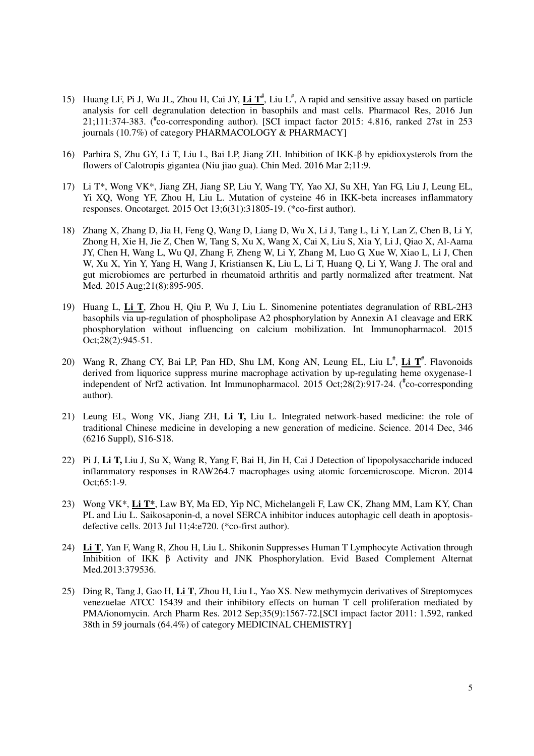- 15) Huang LF, Pi J, Wu JL, Zhou H, Cai JY,  $\underline{\text{Li } T^*}$ , Liu L<sup>#</sup>, A rapid and sensitive assay based on particle analysis for cell degranulation detection in basophils and mast cells. Pharmacol Res, 2016 Jun 21;111:374-383. (**#** co-corresponding author). [SCI impact factor 2015: 4.816, ranked 27st in 253 journals (10.7%) of category PHARMACOLOGY & PHARMACY]
- 16) Parhira S, Zhu GY, Li T, Liu L, Bai LP, Jiang ZH. Inhibition of IKK-β by epidioxysterols from the flowers of Calotropis gigantea (Niu jiao gua). Chin Med. 2016 Mar 2;11:9.
- 17) Li T\*, Wong VK\*, Jiang ZH, Jiang SP, Liu Y, Wang TY, Yao XJ, Su XH, Yan FG, Liu J, Leung EL, Yi XQ, Wong YF, Zhou H, Liu L. Mutation of cysteine 46 in IKK-beta increases inflammatory responses. Oncotarget. 2015 Oct 13;6(31):31805-19. (\*co-first author).
- 18) Zhang X, Zhang D, Jia H, Feng Q, Wang D, Liang D, Wu X, Li J, Tang L, Li Y, Lan Z, Chen B, Li Y, Zhong H, Xie H, Jie Z, Chen W, Tang S, Xu X, Wang X, Cai X, Liu S, Xia Y, Li J, Qiao X, Al-Aama JY, Chen H, Wang L, Wu QJ, Zhang F, Zheng W, Li Y, Zhang M, Luo G, Xue W, Xiao L, Li J, Chen W, Xu X, Yin Y, Yang H, Wang J, Kristiansen K, Liu L, Li T, Huang Q, Li Y, Wang J. The oral and gut microbiomes are perturbed in rheumatoid arthritis and partly normalized after treatment. Nat Med. 2015 Aug;21(8):895-905.
- 19) Huang L, **Li T**, Zhou H, Qiu P, Wu J, Liu L. Sinomenine potentiates degranulation of RBL-2H3 basophils via up-regulation of phospholipase A2 phosphorylation by Annexin A1 cleavage and ERK phosphorylation without influencing on calcium mobilization. Int Immunopharmacol. 2015 Oct;28(2):945-51.
- 20) Wang R, Zhang CY, Bai LP, Pan HD, Shu LM, Kong AN, Leung EL, Liu L<sup>#</sup>, Li T<sup>#</sup>. Flavonoids derived from liquorice suppress murine macrophage activation by up-regulating heme oxygenase-1 independent of Nrf2 activation. Int Immunopharmacol. 2015 Oct;28(2):917-24. (**#** co-corresponding author).
- 21) Leung EL, Wong VK, Jiang ZH, **Li T,** Liu L. Integrated network-based medicine: the role of traditional Chinese medicine in developing a new generation of medicine. Science. 2014 Dec, 346 (6216 Suppl), S16-S18.
- 22) Pi J, **Li T,** Liu J, Su X, Wang R, Yang F, Bai H, Jin H, Cai J Detection of lipopolysaccharide induced inflammatory responses in RAW264.7 macrophages using atomic forcemicroscope. Micron. 2014 Oct;65:1-9.
- 23) Wong VK\*, **Li T\***, Law BY, Ma ED, Yip NC, Michelangeli F, Law CK, Zhang MM, Lam KY, Chan PL and Liu L. Saikosaponin-d, a novel SERCA inhibitor induces autophagic cell death in apoptosisdefective cells. 2013 Jul 11;4:e720. (\*co-first author).
- 24) **Li T**, Yan F, Wang R, Zhou H, Liu L. Shikonin Suppresses Human T Lymphocyte Activation through Inhibition of IKK β Activity and JNK Phosphorylation. Evid Based Complement Alternat Med.2013:379536.
- 25) Ding R, Tang J, Gao H, **Li T**, Zhou H, Liu L, Yao XS. New methymycin derivatives of Streptomyces venezuelae ATCC 15439 and their inhibitory effects on human T cell proliferation mediated by PMA/ionomycin. Arch Pharm Res. 2012 Sep;35(9):1567-72.[SCI impact factor 2011: 1.592, ranked 38th in 59 journals (64.4%) of category MEDICINAL CHEMISTRY]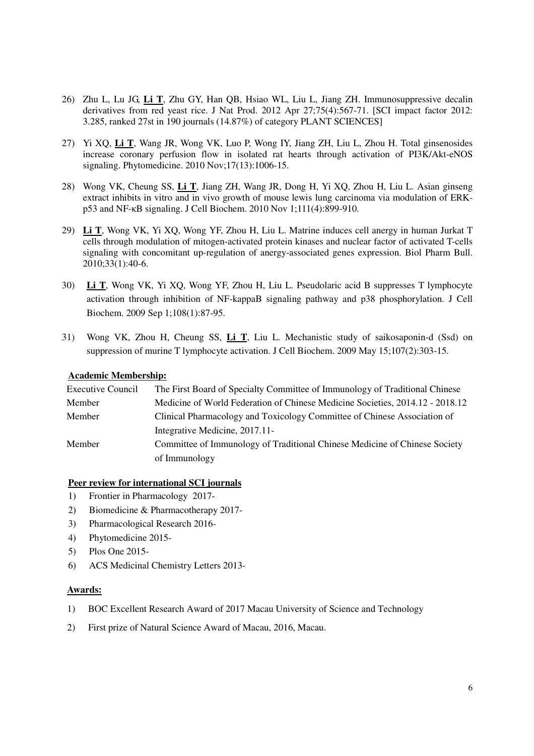- 26) Zhu L, Lu JG, **Li T**, Zhu GY, Han QB, Hsiao WL, Liu L, Jiang ZH. Immunosuppressive decalin derivatives from red yeast rice. J Nat Prod. 2012 Apr 27;75(4):567-71. [SCI impact factor 2012: 3.285, ranked 27st in 190 journals (14.87%) of category PLANT SCIENCES]
- 27) Yi XQ, **Li T**, Wang JR, Wong VK, Luo P, Wong IY, Jiang ZH, Liu L, Zhou H. Total ginsenosides increase coronary perfusion flow in isolated rat hearts through activation of PI3K/Akt-eNOS signaling. Phytomedicine. 2010 Nov;17(13):1006-15.
- 28) Wong VK, Cheung SS, **Li T**, Jiang ZH, Wang JR, Dong H, Yi XQ, Zhou H, Liu L. Asian ginseng extract inhibits in vitro and in vivo growth of mouse lewis lung carcinoma via modulation of ERKp53 and NF-κB signaling. J Cell Biochem. 2010 Nov 1;111(4):899-910.
- 29) **Li T**, Wong VK, Yi XQ, Wong YF, Zhou H, Liu L. Matrine induces cell anergy in human Jurkat T cells through modulation of mitogen-activated protein kinases and nuclear factor of activated T-cells signaling with concomitant up-regulation of anergy-associated genes expression. Biol Pharm Bull. 2010;33(1):40-6.
- 30) **Li T**, Wong VK, Yi XQ, Wong YF, Zhou H, Liu L. Pseudolaric acid B suppresses T lymphocyte activation through inhibition of NF-kappaB signaling pathway and p38 phosphorylation. J Cell Biochem. 2009 Sep 1;108(1):87-95.
- 31) Wong VK, Zhou H, Cheung SS, **Li T**, Liu L. Mechanistic study of saikosaponin-d (Ssd) on suppression of murine T lymphocyte activation. J Cell Biochem. 2009 May 15;107(2):303-15.

### **Academic Membership:**

| Executive Council | The First Board of Specialty Committee of Immunology of Traditional Chinese   |
|-------------------|-------------------------------------------------------------------------------|
| Member            | Medicine of World Federation of Chinese Medicine Societies, 2014.12 - 2018.12 |
| Member            | Clinical Pharmacology and Toxicology Committee of Chinese Association of      |
|                   | Integrative Medicine, 2017.11-                                                |
| Member            | Committee of Immunology of Traditional Chinese Medicine of Chinese Society    |
|                   | of Immunology                                                                 |

### **Peer review for international SCI journals**

- 1) Frontier in Pharmacology 2017-
- 2) Biomedicine & Pharmacotherapy 2017-
- 3) Pharmacological Research 2016-
- 4) Phytomedicine 2015-
- 5) Plos One 2015-
- 6) ACS Medicinal Chemistry Letters 2013-

### **Awards:**

- 1) BOC Excellent Research Award of 2017 Macau University of Science and Technology
- 2) First prize of Natural Science Award of Macau, 2016, Macau.